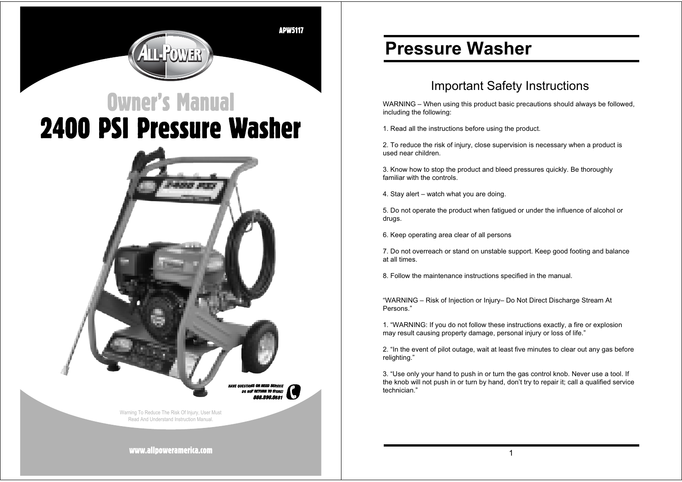**APW5117** 

# **Owner's Manual 2400 PSI Pressure Washer**



## **Pressure Washer**

## Important Safety Instructions

WARNING – When using this product basic precautions should always be followed, including the following:

1. Read all the instructions before using the product.

2. To reduce the risk of injury, close supervision is necessary when a product is used near children.

3. Know how to stop the product and bleed pressures quickly. Be thoroughly familiar with the controls.

4. Stay alert – watch what you are doing.

5. Do not operate the product when fatigued or under the influence of alcohol or drugs.

6. Keep operating area clear of all persons

7. Do not overreach or stand on unstable support. Keep good footing and balance at all times.

8. Follow the maintenance instructions specified in the manual.

"WARNING – Risk of Injection or Injury– Do Not Direct Discharge Stream At Persons."

1. "WARNING: If you do not follow these instructions exactly, a fire or explosion may result causing property damage, personal injury or loss of life."

2. "In the event of pilot outage, wait at least five minutes to clear out any gas before relighting."

3. "Use only your hand to push in or turn the gas control knob. Never use a tool. If the knob will not push in or turn by hand, don't try to repair it; call a qualified service technician."

www.allpoweramerica.com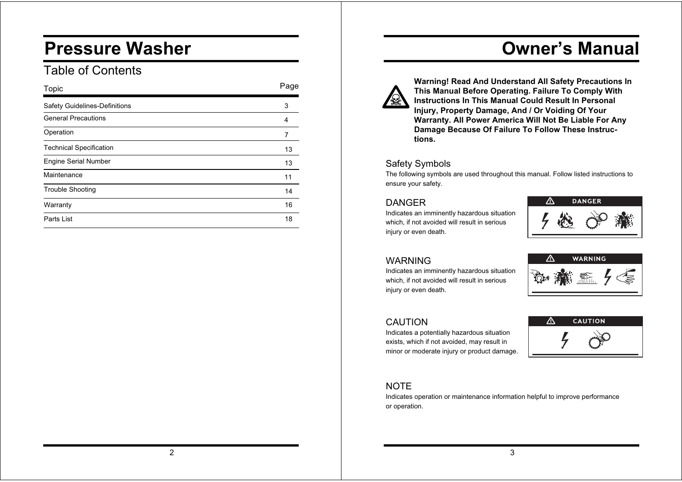## **Pressure Washer**

## Table of Contents

| Topic                                | Page |
|--------------------------------------|------|
| <b>Safety Guidelines-Definitions</b> | 3    |
| <b>General Precautions</b>           | 4    |
| Operation                            | 7    |
| <b>Technical Specification</b>       | 13   |
| <b>Engine Serial Number</b>          | 13   |
| Maintenance                          | 11   |
| <b>Trouble Shooting</b>              | 14   |
| Warranty                             | 16   |
| Parts List                           | 18   |

## **Owner's Manual**



**Warning! Read And Understand All Safety Precautions In This Manual Before Operating. Failure To Comply With Instructions In This Manual Could Result In Personal Injury, Property Damage, And / Or Voiding Of Your Warranty. All Power America Will Not Be Liable For Any Damage Because Of Failure To Follow These Instructions.**

## Safety Symbols

The following symbols are used throughout this manual. Follow listed instructions to ensure your safety.

### DANGER

Indicates an imminently hazardous situation which, if not avoided will result in serious injury or even death.



## WARNING

Indicates an imminently hazardous situation which, if not avoided will result in serious injury or even death.

Indicates a potentially hazardous situation exists, which if not avoided, may result in minor or moderate injury or product damage.



### CAUTION

 $\triangle$ **CAUTION** 

## **NOTE**

Indicates operation or maintenance information helpful to improve performance or operation.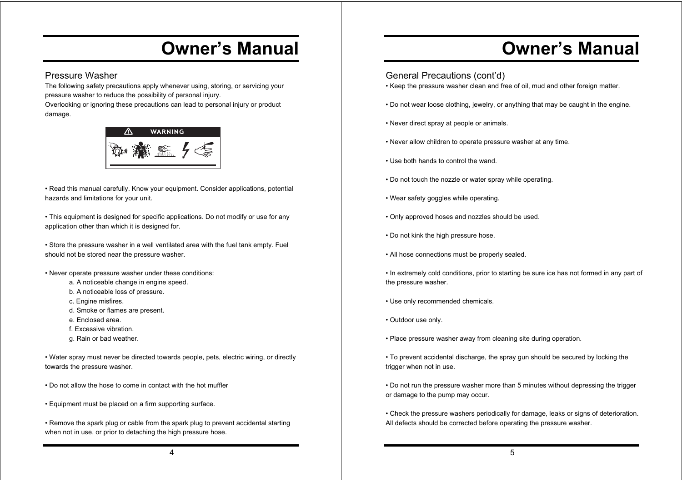### Pressure Washer

The following safety precautions apply whenever using, storing, or servicing your pressure washer to reduce the possibility of personal injury.

Overlooking or ignoring these precautions can lead to personal injury or product damage.



• Read this manual carefully. Know your equipment. Consider applications, potential hazards and limitations for your unit.

• This equipment is designed for specific applications. Do not modify or use for any application other than which it is designed for.

• Store the pressure washer in a well ventilated area with the fuel tank emptv. Fuel should not be stored near the pressure washer.

• Never operate pressure washer under these conditions:

- a. A noticeable change in engine speed.
- b. A noticeable loss of pressure.
- c. Engine misfires.
- d. Smoke or flames are present.
- e. Enclosed area.
- f. Excessive vibration.
- g. Rain or bad weather.

. Water spray must never be directed towards people, pets, electric wiring, or directly towards the pressure washer.

- . Do not allow the hose to come in contact with the hot muffler
- Equipment must be placed on a firm supporting surface.

• Remove the spark plug or cable from the spark plug to prevent accidental starting when not in use, or prior to detaching the high pressure hose.

## **Owner's Manual**

### General Precautions (cont'd)

- Keep the pressure washer clean and free of oil, mud and other foreign matter.
- Do not wear loose clothing, jewelry, or anything that may be caught in the engine.
- Never direct spray at people or animals.
- Never allow children to operate pressure washer at any time.
- Use both hands to control the wand.
- Do not touch the nozzle or water spray while operating.
- Wear safety goggles while operating.
- Only approved hoses and nozzles should be used.
- Do not kink the high pressure hose.
- All hose connections must be properly sealed.
- In extremely cold conditions, prior to starting be sure ice has not formed in any part of the pressure washer.
- Use only recommended chemicals.
- Outdoor use only.
- Place pressure washer away from cleaning site during operation.
- To prevent accidental discharge, the spray gun should be secured by locking the trigger when not in use.
- Do not run the pressure washer more than 5 minutes without depressing the trigger or damage to the pump may occur.
- Check the pressure washers periodically for damage, leaks or signs of deterioration. All defects should be corrected before operating the pressure washer.

4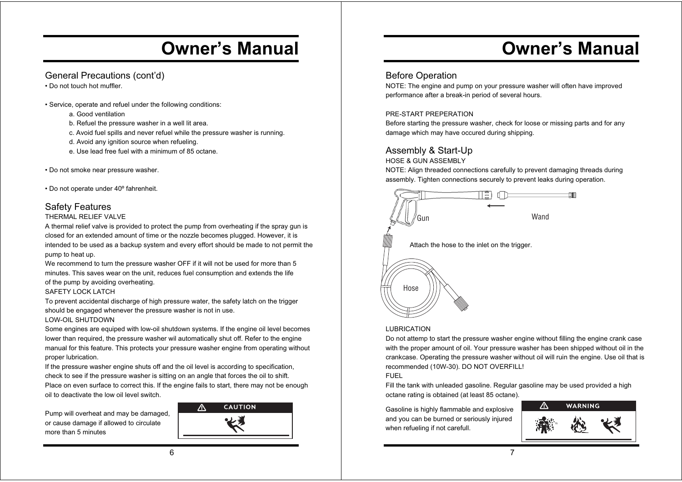## General Precautions (cont'd)

• Do not touch hot muffler.

• Service, operate and refuel under the following conditions:

a. Good ventilation

- b. Refuel the pressure washer in a well lit area.
- c. Avoid fuel spills and never refuel while the pressure washer is running.
- d. Avoid any ignition source when refueling.
- e. Use lead free fuel with a minimum of 85 octane.
- Do not smoke near pressure washer.

• Do not operate under 40º fahrenheit.

## Safety Features

#### THERMAL RELIEF VALVE

A thermal relief valve is provided to protect the pump from overheating if the spray gun is closed for an extended amount of time or the nozzle becomes plugged. However, it is intended to be used as a backup system and every effort should be made to not permit the pump to heat up.

We recommend to turn the pressure washer OFF if it will not be used for more than 5 minutes. This saves wear on the unit, reduces fuel consumption and extends the life of the pump by avoiding overheating.

#### SAFETY LOCK LATCH

To prevent accidental discharge of high pressure water, the safety latch on the trigger should be engaged whenever the pressure washer is not in use. LOW-OIL SHUTDOWN

Some engines are equiped with low-oil shutdown systems. If the engine oil level becomes lower than required, the pressure washer wil automatically shut off. Refer to the engine manual for this feature. This protects your pressure washer engine from operating without proper lubrication.

If the pressure washer engine shuts off and the oil level is according to specification, check to see if the pressure washer is sitting on an angle that forces the oil to shift. Place on even surface to correct this. If the engine fails to start, there may not be enough oil to deactivate the low oil level switch.

Pump will overheat and may be damaged, or cause damage if allowed to circulate more than 5 minutes



## **Owner's Manual**

## Before Operation

NOTE: The engine and pump on your pressure washer will often have improved performance after a break-in period of several hours.

#### PRE-START PREPERATION

Before starting the pressure washer, check for loose or missing parts and for any damage which may have occured during shipping.

## Assembly & Start-Up

HOSE & GUN ASSEMBLY

NOTE: Align threaded connections carefully to prevent damaging threads during assembly. Tighten connections securely to prevent leaks during operation.



#### LUBRICATION

Do not attemp to start the pressure washer engine without filling the engine crank case with the proper amount of oil. Your pressure washer has been shipped without oil in the crankcase. Operating the pressure washer without oil will ruin the engine. Use oil that is recommended (10W-30). DO NOT OVERFILL!

#### FUEL

Fill the tank with unleaded gasoline. Regular gasoline may be used provided a high octane rating is obtained (at least 85 octane).

Gasoline is highly flammable and explosive and you can be burned or seriously injured when refueling if not carefull.

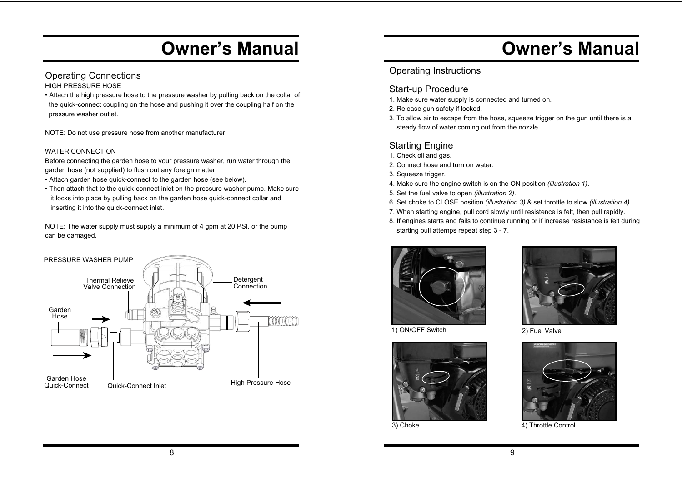## Operating Connections

HIGH PRESSURE HOSE

• Attach the high pressure hose to the pressure washer by pulling back on the collar of the quick-connect coupling on the hose and pushing it over the coupling half on the pressure washer outlet.

NOTE: Do not use pressure hose from another manufacturer.

#### WATER CONNECTION

Before connecting the garden hose to your pressure washer, run water through the garden hose (not supplied) to flush out any foreign matter.

- Attach garden hose quick-connect to the garden hose (see below).
- Then attach that to the quick-connect inlet on the pressure washer pump. Make sure it locks into place by pulling back on the garden hose quick-connect collar and inserting it into the quick-connect inlet.

NOTE: The water supply must supply a minimum of 4 gpm at 20 PSI, or the pump can be damaged.



## **Owner's Manual**

## Operating Instructions

#### Start-up Procedure

- 1. Make sure water supply is connected and turned on.
- 2. Release gun safety if locked.
- 3. To allow air to escape from the hose, squeeze trigger on the gun until there is a steady flow of water coming out from the nozzle.

## Starting Engine

- 1. Check oil and gas.
- 2. Connect hose and turn on water.
- 3. Squeeze trigger.
- 4. Make sure the engine switch is on the ON position *(illustration 1)*.
- 5. Set the fuel valve to open *(illustration 2)*.
- 6. Set choke to CLOSE position *(illustration 3)* & set throttle to slow *(illustration 4)*.
- 7. When starting engine, pull cord slowly until resistence is felt, then pull rapidly.
- 8. If engines starts and fails to continue running or if increase resistance is felt during starting pull attemps repeat step 3 - 7.





1) ON/OFF Switch 2) Fuel Valve



3) Choke



4) Throttle Control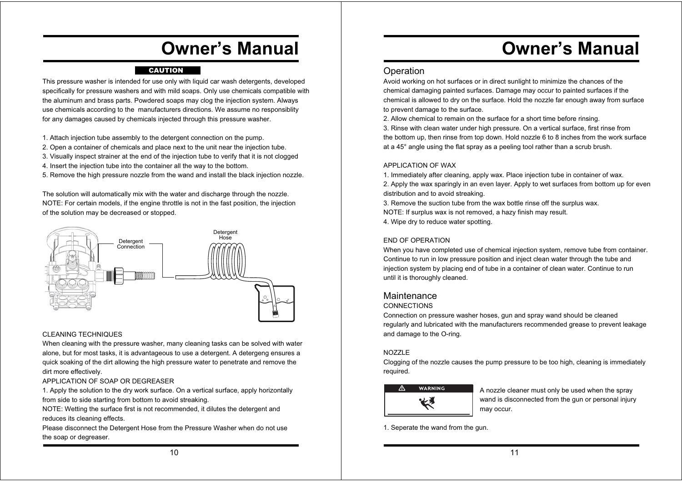#### CAUTION

This pressure washer is intended for use only with liquid car wash detergents, developed specifically for pressure washers and with mild soaps. Only use chemicals compatible with the aluminum and brass parts. Powdered soaps may clog the injection system. Always use chemicals according to the manufacturers directions. We assume no responsiblity for any damages caused by chemicals injected through this pressure washer.

- 1. Attach injection tube assembly to the detergent connection on the pump.
- 2. Open a container of chemicals and place next to the unit near the injection tube.
- 3. Visually inspect strainer at the end of the injection tube to verify that it is not clogged
- 4. Insert the injection tube into the container all the way to the bottom.
- 5. Remove the high pressure nozzle from the wand and install the black injection nozzle.

The solution will automatically mix with the water and discharge through the nozzle. NOTE: For certain models, if the engine throttle is not in the fast position, the injection of the solution may be decreased or stopped.



#### CLEANING TECHNIQUES

When cleaning with the pressure washer, many cleaning tasks can be solved with water alone, but for most tasks, it is advantageous to use a detergent. A detergeng ensures a quick soaking of the dirt allowing the high pressure water to penetrate and remove the dirt more effectively.

APPLICATION OF SOAP OR DEGREASER

1. Apply the solution to the dry work surface. On a vertical surface, apply horizontally from side to side starting from bottom to avoid streaking.

NOTE: Wetting the surface first is not recommended, it dilutes the detergent and reduces its cleaning effects.

Please disconnect the Detergent Hose from the Pressure Washer when do not use the soap or degreaser.

## **Owner's Manual**

#### **Operation**

Avoid working on hot surfaces or in direct sunlight to minimize the chances of the chemical damaging painted surfaces. Damage may occur to painted surfaces if the chemical is allowed to dry on the surface. Hold the nozzle far enough away from surface to prevent damage to the surface.

2. Allow chemical to remain on the surface for a short time before rinsing. 3. Rinse with clean water under high pressure. On a vertical surface, first rinse from the bottom up, then rinse from top down. Hold nozzle 6 to 8 inches from the work surface at a 45° angle using the flat spray as a peeling tool rather than a scrub brush.

#### APPLICATION OF WAX

1. Immediately after cleaning, apply wax. Place injection tube in container of wax.

2. Apply the wax sparingly in an even layer. Apply to wet surfaces from bottom up for even distribution and to avoid streaking.

3. Remove the suction tube from the wax bottle rinse off the surplus wax. NOTE: If surplus wax is not removed, a hazy finish may result. 4. Wipe dry to reduce water spotting.

#### END OF OPERATION

When you have completed use of chemical injection system, remove tube from container. Continue to run in low pressure position and inject clean water through the tube and injection system by placing end of tube in a container of clean water. Continue to run until it is thoroughly cleaned.

#### **Maintenance**

#### **CONNECTIONS**

Connection on pressure washer hoses, gun and spray wand should be cleaned regularly and lubricated with the manufacturers recommended grease to prevent leakage and damage to the O-ring.

#### NOZZLE

Clogging of the nozzle causes the pump pressure to be too high, cleaning is immediately required.



**WARNING** A nozzle cleaner must only be used when the spray wand is disconnected from the gun or personal injury may occur.

1. Seperate the wand from the gun.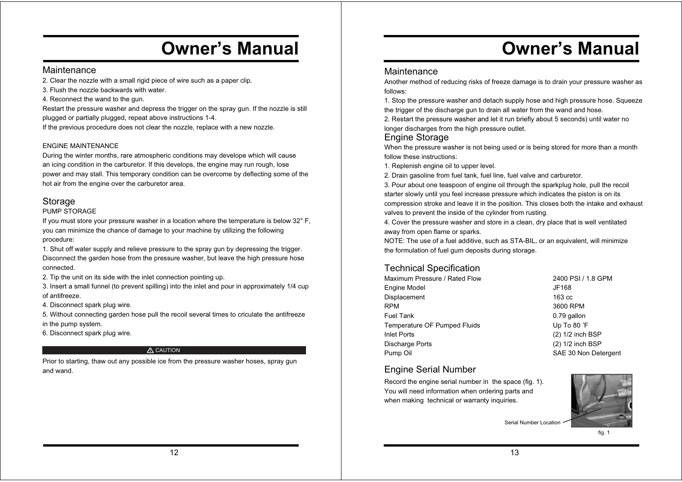#### **Maintenance**

2. Clear the nozzle with a small rigid piece of wire such as a paper clip.

3. Flush the nozzle backwards with water.

4. Reconnect the wand to the gun.

Restart the pressure washer and depress the trigger on the spray gun. If the nozzle is still plugged or partially plugged, repeat above instructions 1-4.

If the previous procedure does not clear the nozzle, replace with a new nozzle.

#### ENGINE MAINTENANCE

During the winter months, rare atmospheric conditions may develope which will cause an icing condition in the carburetor. If this develops, the engine may run rough, lose power and may stall. This temporary condition can be overcome by deflecting some of the hot air from the engine over the carburetor area.

## **Storage**

#### PUMP STORAGE

If you must store your pressure washer in a location where the temperature is below 32° F, you can minimize the chance of damage to your machine by utilizing the following procedure:

1. Shut off water supply and relieve pressure to the spray gun by depressing the trigger. Disconnect the garden hose from the pressure washer, but leave the high pressure hose connected.

2. Tip the unit on its side with the inlet connection pointing up.

3. Insert a small funnel (to prevent spilling) into the inlet and pour in approximately 1/4 cup of antifreeze.

4. Disconnect spark plug wire.

5. Without connecting garden hose pull the recoil several times to criculate the antifreeze in the pump system.

6. Disconnect spark plug wire.

#### A CAUTION

Prior to starting, thaw out any possible ice from the pressure washer hoses, spray gun and wand.

## **Owner's Manual**

#### Maintenance

Another method of reducing risks of freeze damage is to drain your pressure washer as follows:

1. Stop the pressure washer and detach supply hose and high pressure hose. Squeeze the trigger of the discharge gun to drain all water from the wand and hose.

2. Restart the pressure washer and let it run briefly about 5 seconds) until water no longer discharges from the high pressure outlet.

#### Engine Storage

When the pressure washer is not being used or is being stored for more than a month follow these instructions:

1. Replenish engine oil to upper level.

2. Drain gasoline from fuel tank, fuel line, fuel valve and carburetor.

3. Pour about one teaspoon of engine oil through the sparkplug hole, pull the recoil starter slowly until you feel increase pressure which indicates the piston is on its compression stroke and leave it in the position. This closes both the intake and exhaust valves to prevent the inside of the cylinder from rusting.

4. Cover the pressure washer and store in a clean, dry place that is well ventilated away from open flame or sparks.

NOTE: The use of a fuel additive, such as STA-BIL, or an equivalent, will minimize the formulation of fuel gum deposits during storage.

## Technical Specification

| Maximum Pressure / Rated Flow | 2400 PSI / 1.8 GPM   |
|-------------------------------|----------------------|
| Engine Model                  | JF168                |
| Displacement                  | $163 \text{ cc}$     |
| RPM                           | 3600 RPM             |
| Fuel Tank                     | 0.79 gallon          |
| Temperature OF Pumped Fluids  | Up To 80 °F          |
| Inlet Ports                   | $(2)$ 1/2 inch BSP   |
| Discharge Ports               | (2) 1/2 inch BSP     |
| Pump Oil                      | SAE 30 Non Detergent |
|                               |                      |

#### Engine Serial Number

Record the engine serial number in the space (fig. 1). You will need information when ordering parts and when making technical or warranty inquiries.



Serial Number Location

fig. 1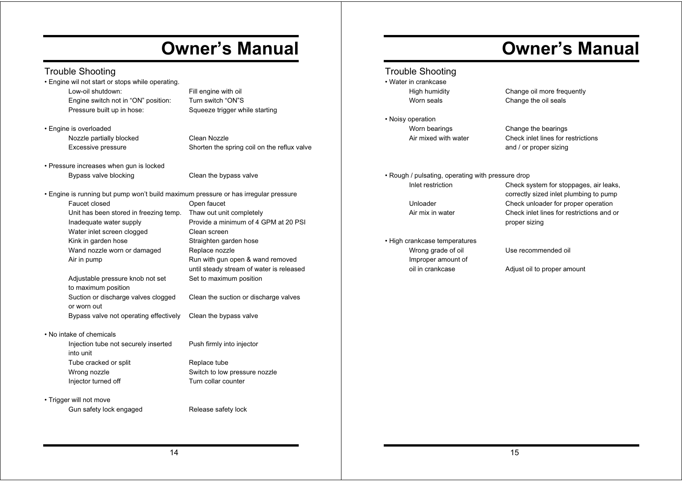## Trouble Shooting

• Engine wil not start or stops while operating. Low-oil shutdown: Fill engine with oil Engine switch not in "ON" position: Turn switch "ON"S Pressure built up in hose: Squeeze trigger while starting

• Engine is overloaded

 Nozzle partially blocked Clean Nozzle Excessive pressure Shorten the spring coil on the reflux valve

• Pressure increases when gun is locked Bypass valve blocking The Clean the bypass valve

• Engine is running but pump won't build maximum pressure or has irregular pressure Faucet closed **Open** faucet Unit has been stored in freezing temp. Thaw out unit completely Inadequate water supply Provide a minimum of 4 GPM at 20 PSI Water inlet screen clogged Clean screen Kink in garden hose Straighten garden hose Wand nozzle worn or damaged Replace nozzle Air in pump **Run with gun open & wand removed** Adjustable pressure knob not set Set to maximum position to maximum position Suction or discharge valves clogged Clean the suction or discharge valves or worn out Bypass valve not operating effectively Clean the bypass valve

#### • No intake of chemicals

 Injection tube not securely inserted Push firmly into injector into unit Tube cracked or split Replace tube Wrong nozzle **Switch to low pressure nozzle** Injector turned off Turn collar counter

• Trigger will not move

Gun safety lock engaged Release safety lock

until steady stream of water is released

Trouble Shooting • Water in crankcase

• Noisy operation Worn bearings Change the bearings

## **Owner's Manual**

 High humidity Change oil more frequently Worn seals **Change** the oil seals

 Air mixed with water Check inlet lines for restrictions and / or proper sizing

• Rough / pulsating, operating with pressure drop

• High crankcase temperatures Wrong grade of oil **Use recommended oil** Improper amount of

 Inlet restriction Check system for stoppages, air leaks, correctly sized inlet plumbing to pump Unloader Check unloader for proper operation Air mix in water Check inlet lines for restrictions and or proper sizing

oil in crankcase **Adjust oil to proper amount**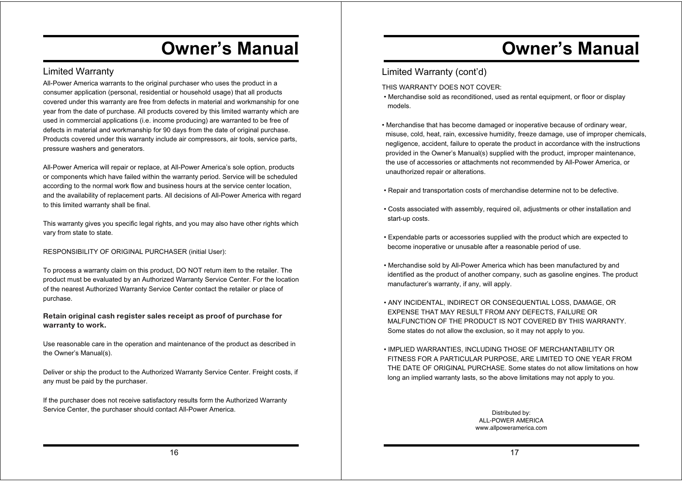## Limited Warranty

All-Power America warrants to the original purchaser who uses the product in a consumer application (personal, residential or household usage) that all products covered under this warranty are free from defects in material and workmanship for one year from the date of purchase. All products covered by this limited warranty which are used in commercial applications (i.e. income producing) are warranted to be free of defects in material and workmanship for 90 days from the date of original purchase. Products covered under this warranty include air compressors, air tools, service parts, pressure washers and generators.

All-Power America will repair or replace, at All-Power America's sole option, products or components which have failed within the warranty period. Service will be scheduled according to the normal work flow and business hours at the service center location, and the availability of replacement parts. All decisions of All-Power America with regard to this limited warranty shall be final.

This warranty gives you specific legal rights, and you may also have other rights which vary from state to state.

RESPONSIBILITY OF ORIGINAL PURCHASER (initial User):

To process a warranty claim on this product, DO NOT return item to the retailer. The product must be evaluated by an Authorized Warranty Service Center. For the location of the nearest Authorized Warranty Service Center contact the retailer or place of purchase.

**Retain original cash register sales receipt as proof of purchase for warranty to work.**

Use reasonable care in the operation and maintenance of the product as described in the Owner's Manual(s).

Deliver or ship the product to the Authorized Warranty Service Center. Freight costs, if any must be paid by the purchaser.

If the purchaser does not receive satisfactory results form the Authorized Warranty Service Center, the purchaser should contact All-Power America.

## **Owner's Manual**

## Limited Warranty (cont'd)

THIS WARRANTY DOES NOT COVER:

- Merchandise sold as reconditioned, used as rental equipment, or floor or display models.
- Merchandise that has become damaged or inoperative because of ordinary wear, misuse, cold, heat, rain, excessive humidity, freeze damage, use of improper chemicals, negligence, accident, failure to operate the product in accordance with the instructions provided in the Owner's Manual(s) supplied with the product, improper maintenance, the use of accessories or attachments not recommended by All-Power America, or unauthorized repair or alterations.
- Repair and transportation costs of merchandise determine not to be defective.
- . Costs associated with assembly, required oil, adjustments or other installation and start-up costs.
- Expendable parts or accessories supplied with the product which are expected to become inoperative or unusable after a reasonable period of use.
- Merchandise sold by All-Power America which has been manufactured by and identified as the product of another company, such as gasoline engines. The product manufacturer's warranty, if any, will apply.
- $\cdot$  ANY INCIDENTAL, INDIRECT OR CONSEQUENTIAL LOSS, DAMAGE, OR **EXPENSE THAT MAY RESULT FROM ANY DEFECTS. FAILURE OR** MAI FUNCTION OF THE PRODUCT IS NOT COVERED BY THIS WARRANTY. Some states do not allow the exclusion, so it may not apply to you.
- . IMPLIED WARRANTIES, INCLUDING THOSE OF MERCHANTABILITY OR FITNESS FOR A PARTICULAR PURPOSE, ARE LIMITED TO ONE YEAR FROM THE DATE OF ORIGINAL PURCHASE. Some states do not allow limitations on how long an implied warranty lasts, so the above limitations may not apply to you.

Distributed by: ALL-POWER AMERICA www.allpoweramerica.com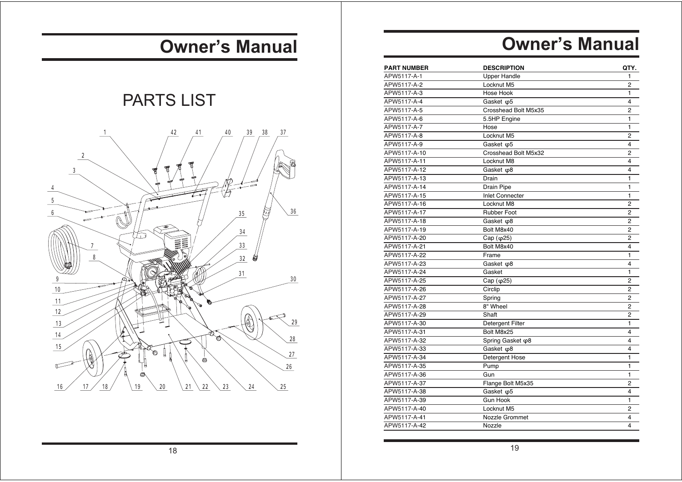## PARTS LIST



## **Owner's Manual**

| <b>PART NUMBER</b> | <b>DESCRIPTION</b>     | QTY.           |
|--------------------|------------------------|----------------|
| APW5117-A-1        | <b>Upper Handle</b>    | 1              |
| APW5117-A-2        | Locknut M5             | $\overline{2}$ |
| APW5117-A-3        | Hose Hook              | $\blacksquare$ |
| APW5117-A-4        | Gasket $\varphi$ 5     | 4              |
| APW5117-A-5        | Crosshead Bolt M5x35   | $\overline{2}$ |
| APW5117-A-6        | 5.5HP Engine           | 1              |
| APW5117-A-7        | Hose                   | $\mathbf{1}$   |
| APW5117-A-8        | Locknut M5             | $\overline{2}$ |
| APW5117-A-9        | Gasket $\varphi$ 5     | 4              |
| APW5117-A-10       | Crosshead Bolt M5x32   | 2              |
| APW5117-A-11       | Locknut M8             | 4              |
| APW5117-A-12       | Gasket $\varphi$ 8     | 4              |
| APW5117-A-13       | Drain                  | 1              |
| APW5117-A-14       | Drain Pipe             | $\mathbf{1}$   |
| APW5117-A-15       | <b>Inlet Connecter</b> | 1              |
| APW5117-A-16       | Locknut M8             | $\overline{2}$ |
| APW5117-A-17       | <b>Rubber Foot</b>     | $\overline{2}$ |
| APW5117-A-18       | Gasket $\varphi$ 8     | $\overline{c}$ |
| APW5117-A-19       | Bolt M8x40             | $\overline{2}$ |
| APW5117-A-20       | Cap (φ25)              | $\overline{2}$ |
| APW5117-A-21       | Bolt M8x40             | 4              |
| APW5117-A-22       | Frame                  | 1              |
| APW5117-A-23       | Gasket $\varphi$ 8     | 4              |
| APW5117-A-24       | Gasket                 | $\mathbf{1}$   |
| APW5117-A-25       | Cap $(\varphi$ 25)     | $\overline{2}$ |
| APW5117-A-26       | Circlip                | $\overline{2}$ |
| APW5117-A-27       | Spring                 | $\overline{2}$ |
| APW5117-A-28       | 8" Wheel               | $\overline{2}$ |
| APW5117-A-29       | Shaft                  | $\overline{2}$ |
| APW5117-A-30       | Detergent Filter       | 1              |
| APW5117-A-31       | Bolt M8x25             | 4              |
| APW5117-A-32       | Spring Gasket ω8       | 4              |
| APW5117-A-33       | Gasket $\varphi$ 8     | 4              |
| APW5117-A-34       | Detergent Hose         | 1              |
| APW5117-A-35       | Pump                   | 1              |
| APW5117-A-36       | Gun                    | $\blacksquare$ |
| APW5117-A-37       | Flange Bolt M5x35      | $\overline{2}$ |
| APW5117-A-38       | Gasket $\varphi$ 5     | 4              |
| APW5117-A-39       | <b>Gun Hook</b>        | 1              |
| APW5117-A-40       | Locknut M5             | 2              |
| APW5117-A-41       | Nozzle Grommet         | 4              |
| APW5117-A-42       | Nozzle                 | 4              |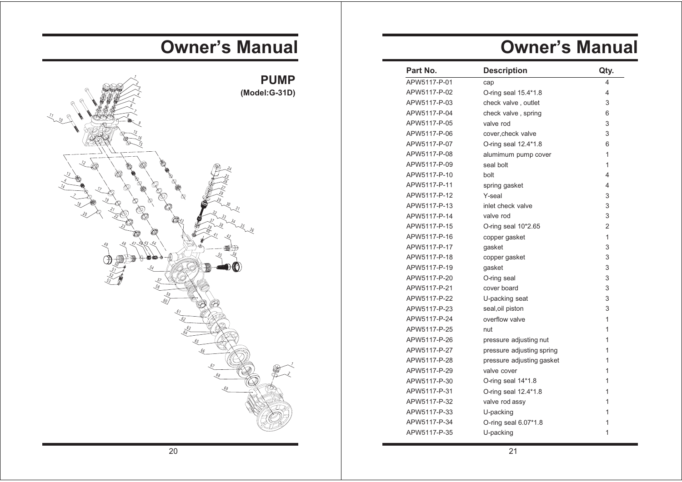| Part No.     | <b>Description</b>        | Qty.           |
|--------------|---------------------------|----------------|
| APW5117-P-01 | cap                       | 4              |
| APW5117-P-02 | O-ring seal 15.4*1.8      | 4              |
| APW5117-P-03 | check valve, outlet       | 3              |
| APW5117-P-04 | check valve, spring       | 6              |
| APW5117-P-05 | valve rod                 | 3              |
| APW5117-P-06 | cover.check valve         | 3              |
| APW5117-P-07 | O-ring seal 12.4*1.8      | 6              |
| APW5117-P-08 | alumimum pump cover       | 1              |
| APW5117-P-09 | seal bolt                 | 1              |
| APW5117-P-10 | bolt                      | 4              |
| APW5117-P-11 | spring gasket             | 4              |
| APW5117-P-12 | Y-seal                    | 3              |
| APW5117-P-13 | inlet check valve         | 3              |
| APW5117-P-14 | valve rod                 | 3              |
| APW5117-P-15 | O-ring seal 10*2.65       | $\overline{2}$ |
| APW5117-P-16 | copper gasket             | 1              |
| APW5117-P-17 | gasket                    | 3              |
| APW5117-P-18 | copper gasket             | 3              |
| APW5117-P-19 | gasket                    | 3              |
| APW5117-P-20 | O-ring seal               | 3              |
| APW5117-P-21 | cover board               | 3              |
| APW5117-P-22 | U-packing seat            | 3              |
| APW5117-P-23 | seal, oil piston          | 3              |
| APW5117-P-24 | overflow valve            | 1              |
| APW5117-P-25 | nut                       | 1              |
| APW5117-P-26 | pressure adjusting nut    | 1              |
| APW5117-P-27 | pressure adjusting spring | 1              |
| APW5117-P-28 | pressure adjusting gasket | 1              |
| APW5117-P-29 | valve cover               | 1              |
| APW5117-P-30 | O-ring seal 14*1.8        | 1              |
| APW5117-P-31 | O-ring seal 12.4*1.8      | 1              |
| APW5117-P-32 | valve rod assy            | 1              |
| APW5117-P-33 | U-packing                 | 1              |
| APW5117-P-34 | O-ring seal 6.07*1.8      | 1              |
| APW5117-P-35 | U-packing                 | 1              |

# **Owner's Manual**